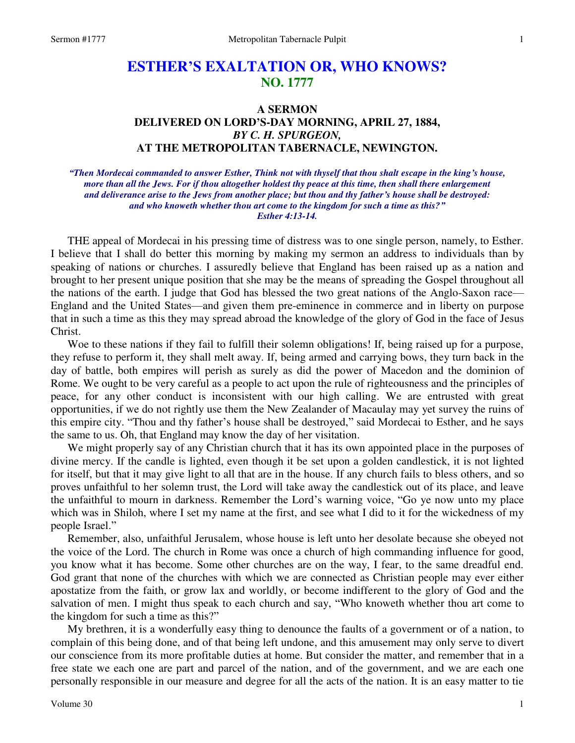# **ESTHER'S EXALTATION OR, WHO KNOWS? NO. 1777**

# **A SERMON DELIVERED ON LORD'S-DAY MORNING, APRIL 27, 1884,**  *BY C. H. SPURGEON,*  **AT THE METROPOLITAN TABERNACLE, NEWINGTON.**

*"Then Mordecai commanded to answer Esther, Think not with thyself that thou shalt escape in the king's house, more than all the Jews. For if thou altogether holdest thy peace at this time, then shall there enlargement and deliverance arise to the Jews from another place; but thou and thy father's house shall be destroyed: and who knoweth whether thou art come to the kingdom for such a time as this?" Esther 4:13-14.* 

THE appeal of Mordecai in his pressing time of distress was to one single person, namely, to Esther. I believe that I shall do better this morning by making my sermon an address to individuals than by speaking of nations or churches. I assuredly believe that England has been raised up as a nation and brought to her present unique position that she may be the means of spreading the Gospel throughout all the nations of the earth. I judge that God has blessed the two great nations of the Anglo-Saxon race— England and the United States—and given them pre-eminence in commerce and in liberty on purpose that in such a time as this they may spread abroad the knowledge of the glory of God in the face of Jesus Christ.

 Woe to these nations if they fail to fulfill their solemn obligations! If, being raised up for a purpose, they refuse to perform it, they shall melt away. If, being armed and carrying bows, they turn back in the day of battle, both empires will perish as surely as did the power of Macedon and the dominion of Rome. We ought to be very careful as a people to act upon the rule of righteousness and the principles of peace, for any other conduct is inconsistent with our high calling. We are entrusted with great opportunities, if we do not rightly use them the New Zealander of Macaulay may yet survey the ruins of this empire city. "Thou and thy father's house shall be destroyed," said Mordecai to Esther, and he says the same to us. Oh, that England may know the day of her visitation.

 We might properly say of any Christian church that it has its own appointed place in the purposes of divine mercy. If the candle is lighted, even though it be set upon a golden candlestick, it is not lighted for itself, but that it may give light to all that are in the house. If any church fails to bless others, and so proves unfaithful to her solemn trust, the Lord will take away the candlestick out of its place, and leave the unfaithful to mourn in darkness. Remember the Lord's warning voice, "Go ye now unto my place which was in Shiloh, where I set my name at the first, and see what I did to it for the wickedness of my people Israel."

 Remember, also, unfaithful Jerusalem, whose house is left unto her desolate because she obeyed not the voice of the Lord. The church in Rome was once a church of high commanding influence for good, you know what it has become. Some other churches are on the way, I fear, to the same dreadful end. God grant that none of the churches with which we are connected as Christian people may ever either apostatize from the faith, or grow lax and worldly, or become indifferent to the glory of God and the salvation of men. I might thus speak to each church and say, "Who knoweth whether thou art come to the kingdom for such a time as this?"

 My brethren, it is a wonderfully easy thing to denounce the faults of a government or of a nation, to complain of this being done, and of that being left undone, and this amusement may only serve to divert our conscience from its more profitable duties at home. But consider the matter, and remember that in a free state we each one are part and parcel of the nation, and of the government, and we are each one personally responsible in our measure and degree for all the acts of the nation. It is an easy matter to tie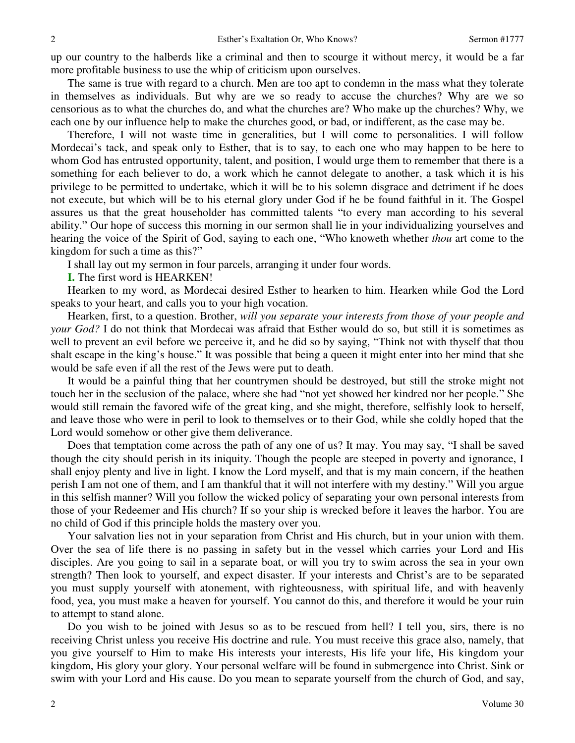up our country to the halberds like a criminal and then to scourge it without mercy, it would be a far more profitable business to use the whip of criticism upon ourselves.

 The same is true with regard to a church. Men are too apt to condemn in the mass what they tolerate in themselves as individuals. But why are we so ready to accuse the churches? Why are we so censorious as to what the churches do, and what the churches are? Who make up the churches? Why, we each one by our influence help to make the churches good, or bad, or indifferent, as the case may be.

 Therefore, I will not waste time in generalities, but I will come to personalities. I will follow Mordecai's tack, and speak only to Esther, that is to say, to each one who may happen to be here to whom God has entrusted opportunity, talent, and position, I would urge them to remember that there is a something for each believer to do, a work which he cannot delegate to another, a task which it is his privilege to be permitted to undertake, which it will be to his solemn disgrace and detriment if he does not execute, but which will be to his eternal glory under God if he be found faithful in it. The Gospel assures us that the great householder has committed talents "to every man according to his several ability." Our hope of success this morning in our sermon shall lie in your individualizing yourselves and hearing the voice of the Spirit of God, saying to each one, "Who knoweth whether *thou* art come to the kingdom for such a time as this?"

I shall lay out my sermon in four parcels, arranging it under four words.

**I.** The first word is HEARKEN!

 Hearken to my word, as Mordecai desired Esther to hearken to him. Hearken while God the Lord speaks to your heart, and calls you to your high vocation.

 Hearken, first, to a question. Brother, *will you separate your interests from those of your people and your God?* I do not think that Mordecai was afraid that Esther would do so, but still it is sometimes as well to prevent an evil before we perceive it, and he did so by saying, "Think not with thyself that thou shalt escape in the king's house." It was possible that being a queen it might enter into her mind that she would be safe even if all the rest of the Jews were put to death.

 It would be a painful thing that her countrymen should be destroyed, but still the stroke might not touch her in the seclusion of the palace, where she had "not yet showed her kindred nor her people." She would still remain the favored wife of the great king, and she might, therefore, selfishly look to herself, and leave those who were in peril to look to themselves or to their God, while she coldly hoped that the Lord would somehow or other give them deliverance.

 Does that temptation come across the path of any one of us? It may. You may say, "I shall be saved though the city should perish in its iniquity. Though the people are steeped in poverty and ignorance, I shall enjoy plenty and live in light. I know the Lord myself, and that is my main concern, if the heathen perish I am not one of them, and I am thankful that it will not interfere with my destiny." Will you argue in this selfish manner? Will you follow the wicked policy of separating your own personal interests from those of your Redeemer and His church? If so your ship is wrecked before it leaves the harbor. You are no child of God if this principle holds the mastery over you.

 Your salvation lies not in your separation from Christ and His church, but in your union with them. Over the sea of life there is no passing in safety but in the vessel which carries your Lord and His disciples. Are you going to sail in a separate boat, or will you try to swim across the sea in your own strength? Then look to yourself, and expect disaster. If your interests and Christ's are to be separated you must supply yourself with atonement, with righteousness, with spiritual life, and with heavenly food, yea, you must make a heaven for yourself. You cannot do this, and therefore it would be your ruin to attempt to stand alone.

 Do you wish to be joined with Jesus so as to be rescued from hell? I tell you, sirs, there is no receiving Christ unless you receive His doctrine and rule. You must receive this grace also, namely, that you give yourself to Him to make His interests your interests, His life your life, His kingdom your kingdom, His glory your glory. Your personal welfare will be found in submergence into Christ. Sink or swim with your Lord and His cause. Do you mean to separate yourself from the church of God, and say,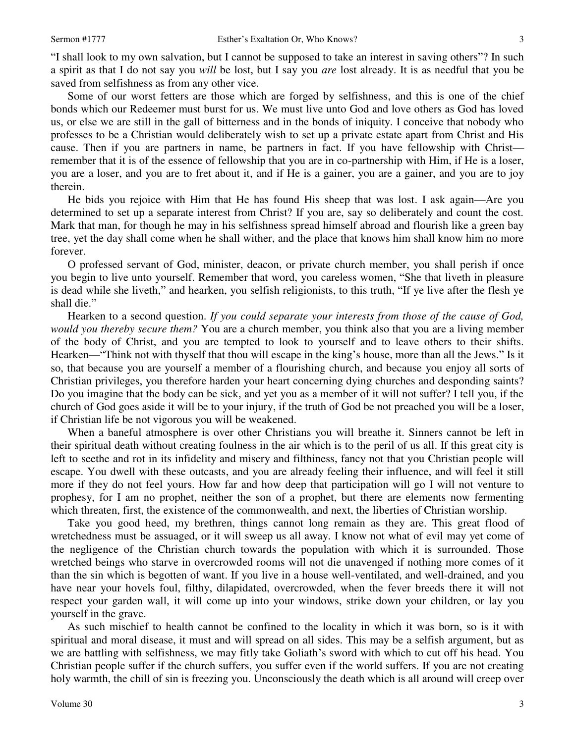"I shall look to my own salvation, but I cannot be supposed to take an interest in saving others"? In such a spirit as that I do not say you *will* be lost, but I say you *are* lost already. It is as needful that you be saved from selfishness as from any other vice.

 Some of our worst fetters are those which are forged by selfishness, and this is one of the chief bonds which our Redeemer must burst for us. We must live unto God and love others as God has loved us, or else we are still in the gall of bitterness and in the bonds of iniquity. I conceive that nobody who professes to be a Christian would deliberately wish to set up a private estate apart from Christ and His cause. Then if you are partners in name, be partners in fact. If you have fellowship with Christ remember that it is of the essence of fellowship that you are in co-partnership with Him, if He is a loser, you are a loser, and you are to fret about it, and if He is a gainer, you are a gainer, and you are to joy therein.

 He bids you rejoice with Him that He has found His sheep that was lost. I ask again—Are you determined to set up a separate interest from Christ? If you are, say so deliberately and count the cost. Mark that man, for though he may in his selfishness spread himself abroad and flourish like a green bay tree, yet the day shall come when he shall wither, and the place that knows him shall know him no more forever.

 O professed servant of God, minister, deacon, or private church member, you shall perish if once you begin to live unto yourself. Remember that word, you careless women, "She that liveth in pleasure is dead while she liveth," and hearken, you selfish religionists, to this truth, "If ye live after the flesh ye shall die."

 Hearken to a second question. *If you could separate your interests from those of the cause of God, would you thereby secure them?* You are a church member, you think also that you are a living member of the body of Christ, and you are tempted to look to yourself and to leave others to their shifts. Hearken—"Think not with thyself that thou will escape in the king's house, more than all the Jews." Is it so, that because you are yourself a member of a flourishing church, and because you enjoy all sorts of Christian privileges, you therefore harden your heart concerning dying churches and desponding saints? Do you imagine that the body can be sick, and yet you as a member of it will not suffer? I tell you, if the church of God goes aside it will be to your injury, if the truth of God be not preached you will be a loser, if Christian life be not vigorous you will be weakened.

 When a baneful atmosphere is over other Christians you will breathe it. Sinners cannot be left in their spiritual death without creating foulness in the air which is to the peril of us all. If this great city is left to seethe and rot in its infidelity and misery and filthiness, fancy not that you Christian people will escape. You dwell with these outcasts, and you are already feeling their influence, and will feel it still more if they do not feel yours. How far and how deep that participation will go I will not venture to prophesy, for I am no prophet, neither the son of a prophet, but there are elements now fermenting which threaten, first, the existence of the commonwealth, and next, the liberties of Christian worship.

 Take you good heed, my brethren, things cannot long remain as they are. This great flood of wretchedness must be assuaged, or it will sweep us all away. I know not what of evil may yet come of the negligence of the Christian church towards the population with which it is surrounded. Those wretched beings who starve in overcrowded rooms will not die unavenged if nothing more comes of it than the sin which is begotten of want. If you live in a house well-ventilated, and well-drained, and you have near your hovels foul, filthy, dilapidated, overcrowded, when the fever breeds there it will not respect your garden wall, it will come up into your windows, strike down your children, or lay you yourself in the grave.

 As such mischief to health cannot be confined to the locality in which it was born, so is it with spiritual and moral disease, it must and will spread on all sides. This may be a selfish argument, but as we are battling with selfishness, we may fitly take Goliath's sword with which to cut off his head. You Christian people suffer if the church suffers, you suffer even if the world suffers. If you are not creating holy warmth, the chill of sin is freezing you. Unconsciously the death which is all around will creep over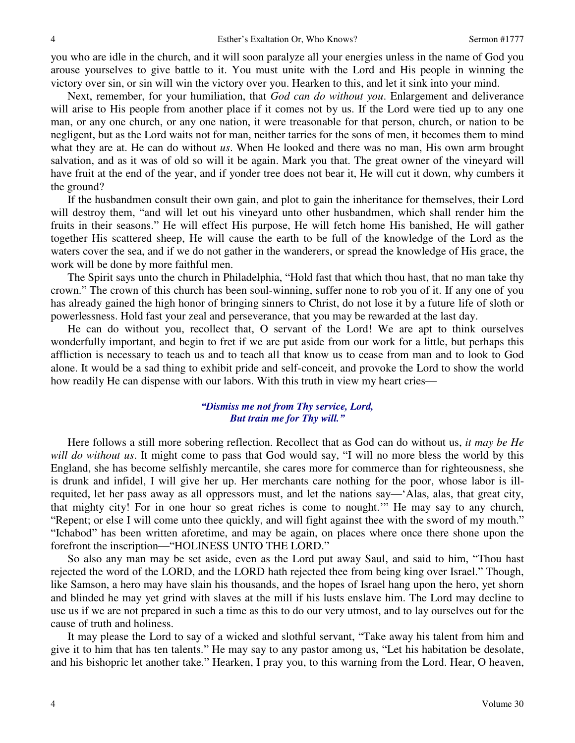you who are idle in the church, and it will soon paralyze all your energies unless in the name of God you arouse yourselves to give battle to it. You must unite with the Lord and His people in winning the victory over sin, or sin will win the victory over you. Hearken to this, and let it sink into your mind.

 Next, remember, for your humiliation, that *God can do without you*. Enlargement and deliverance will arise to His people from another place if it comes not by us. If the Lord were tied up to any one man, or any one church, or any one nation, it were treasonable for that person, church, or nation to be negligent, but as the Lord waits not for man, neither tarries for the sons of men, it becomes them to mind what they are at. He can do without *us*. When He looked and there was no man, His own arm brought salvation, and as it was of old so will it be again. Mark you that. The great owner of the vineyard will have fruit at the end of the year, and if yonder tree does not bear it, He will cut it down, why cumbers it the ground?

 If the husbandmen consult their own gain, and plot to gain the inheritance for themselves, their Lord will destroy them, "and will let out his vineyard unto other husbandmen, which shall render him the fruits in their seasons." He will effect His purpose, He will fetch home His banished, He will gather together His scattered sheep, He will cause the earth to be full of the knowledge of the Lord as the waters cover the sea, and if we do not gather in the wanderers, or spread the knowledge of His grace, the work will be done by more faithful men.

 The Spirit says unto the church in Philadelphia, "Hold fast that which thou hast, that no man take thy crown." The crown of this church has been soul-winning, suffer none to rob you of it. If any one of you has already gained the high honor of bringing sinners to Christ, do not lose it by a future life of sloth or powerlessness. Hold fast your zeal and perseverance, that you may be rewarded at the last day.

 He can do without you, recollect that, O servant of the Lord! We are apt to think ourselves wonderfully important, and begin to fret if we are put aside from our work for a little, but perhaps this affliction is necessary to teach us and to teach all that know us to cease from man and to look to God alone. It would be a sad thing to exhibit pride and self-conceit, and provoke the Lord to show the world how readily He can dispense with our labors. With this truth in view my heart cries—

## *"Dismiss me not from Thy service, Lord, But train me for Thy will."*

Here follows a still more sobering reflection. Recollect that as God can do without us, *it may be He will do without us*. It might come to pass that God would say, "I will no more bless the world by this England, she has become selfishly mercantile, she cares more for commerce than for righteousness, she is drunk and infidel, I will give her up. Her merchants care nothing for the poor, whose labor is illrequited, let her pass away as all oppressors must, and let the nations say—'Alas, alas, that great city, that mighty city! For in one hour so great riches is come to nought.'" He may say to any church, "Repent; or else I will come unto thee quickly, and will fight against thee with the sword of my mouth." "Ichabod" has been written aforetime, and may be again, on places where once there shone upon the forefront the inscription—"HOLINESS UNTO THE LORD."

 So also any man may be set aside, even as the Lord put away Saul, and said to him, "Thou hast rejected the word of the LORD, and the LORD hath rejected thee from being king over Israel." Though, like Samson, a hero may have slain his thousands, and the hopes of Israel hang upon the hero, yet shorn and blinded he may yet grind with slaves at the mill if his lusts enslave him. The Lord may decline to use us if we are not prepared in such a time as this to do our very utmost, and to lay ourselves out for the cause of truth and holiness.

 It may please the Lord to say of a wicked and slothful servant, "Take away his talent from him and give it to him that has ten talents." He may say to any pastor among us, "Let his habitation be desolate, and his bishopric let another take." Hearken, I pray you, to this warning from the Lord. Hear, O heaven,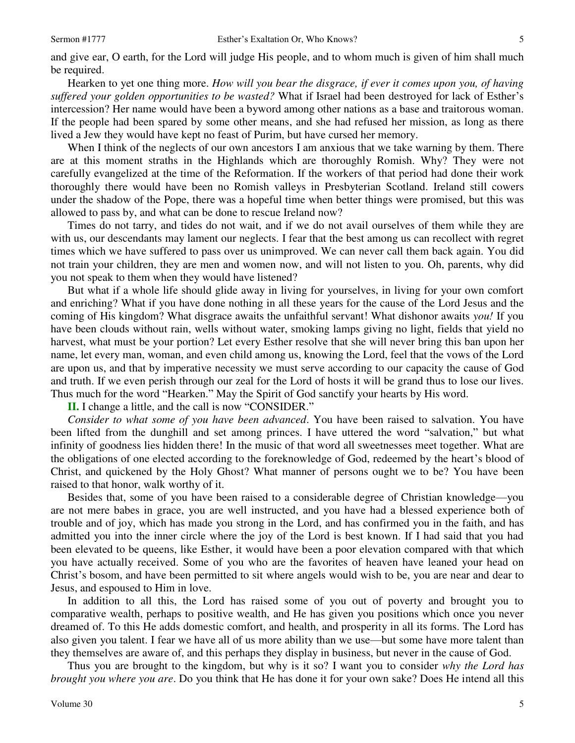and give ear, O earth, for the Lord will judge His people, and to whom much is given of him shall much be required.

 Hearken to yet one thing more. *How will you bear the disgrace, if ever it comes upon you, of having suffered your golden opportunities to be wasted?* What if Israel had been destroyed for lack of Esther's intercession? Her name would have been a byword among other nations as a base and traitorous woman. If the people had been spared by some other means, and she had refused her mission, as long as there lived a Jew they would have kept no feast of Purim, but have cursed her memory.

When I think of the neglects of our own ancestors I am anxious that we take warning by them. There are at this moment straths in the Highlands which are thoroughly Romish. Why? They were not carefully evangelized at the time of the Reformation. If the workers of that period had done their work thoroughly there would have been no Romish valleys in Presbyterian Scotland. Ireland still cowers under the shadow of the Pope, there was a hopeful time when better things were promised, but this was allowed to pass by, and what can be done to rescue Ireland now?

 Times do not tarry, and tides do not wait, and if we do not avail ourselves of them while they are with us, our descendants may lament our neglects. I fear that the best among us can recollect with regret times which we have suffered to pass over us unimproved. We can never call them back again. You did not train your children, they are men and women now, and will not listen to you. Oh, parents, why did you not speak to them when they would have listened?

 But what if a whole life should glide away in living for yourselves, in living for your own comfort and enriching? What if you have done nothing in all these years for the cause of the Lord Jesus and the coming of His kingdom? What disgrace awaits the unfaithful servant! What dishonor awaits *you!* If you have been clouds without rain, wells without water, smoking lamps giving no light, fields that yield no harvest, what must be your portion? Let every Esther resolve that she will never bring this ban upon her name, let every man, woman, and even child among us, knowing the Lord, feel that the vows of the Lord are upon us, and that by imperative necessity we must serve according to our capacity the cause of God and truth. If we even perish through our zeal for the Lord of hosts it will be grand thus to lose our lives. Thus much for the word "Hearken." May the Spirit of God sanctify your hearts by His word.

**II.** I change a little, and the call is now "CONSIDER."

*Consider to what some of you have been advanced*. You have been raised to salvation. You have been lifted from the dunghill and set among princes. I have uttered the word "salvation," but what infinity of goodness lies hidden there! In the music of that word all sweetnesses meet together. What are the obligations of one elected according to the foreknowledge of God, redeemed by the heart's blood of Christ, and quickened by the Holy Ghost? What manner of persons ought we to be? You have been raised to that honor, walk worthy of it.

 Besides that, some of you have been raised to a considerable degree of Christian knowledge—you are not mere babes in grace, you are well instructed, and you have had a blessed experience both of trouble and of joy, which has made you strong in the Lord, and has confirmed you in the faith, and has admitted you into the inner circle where the joy of the Lord is best known. If I had said that you had been elevated to be queens, like Esther, it would have been a poor elevation compared with that which you have actually received. Some of you who are the favorites of heaven have leaned your head on Christ's bosom, and have been permitted to sit where angels would wish to be, you are near and dear to Jesus, and espoused to Him in love.

 In addition to all this, the Lord has raised some of you out of poverty and brought you to comparative wealth, perhaps to positive wealth, and He has given you positions which once you never dreamed of. To this He adds domestic comfort, and health, and prosperity in all its forms. The Lord has also given you talent. I fear we have all of us more ability than we use—but some have more talent than they themselves are aware of, and this perhaps they display in business, but never in the cause of God.

 Thus you are brought to the kingdom, but why is it so? I want you to consider *why the Lord has brought you where you are*. Do you think that He has done it for your own sake? Does He intend all this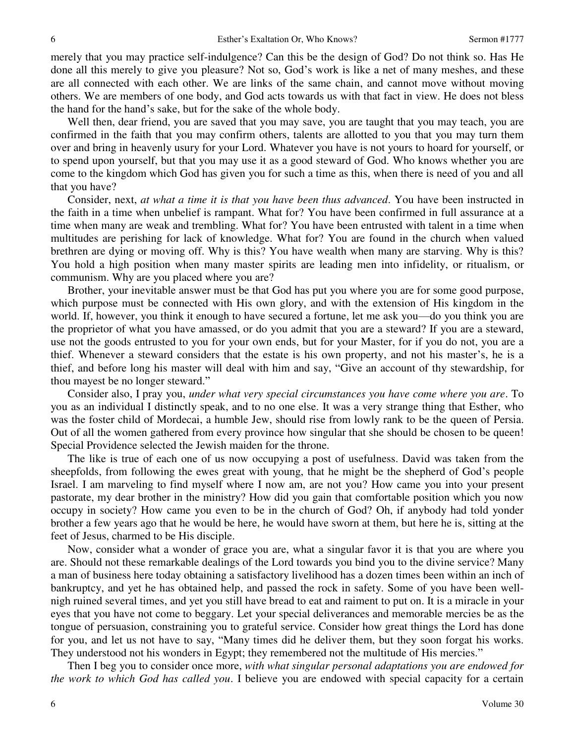merely that you may practice self-indulgence? Can this be the design of God? Do not think so. Has He done all this merely to give you pleasure? Not so, God's work is like a net of many meshes, and these are all connected with each other. We are links of the same chain, and cannot move without moving others. We are members of one body, and God acts towards us with that fact in view. He does not bless the hand for the hand's sake, but for the sake of the whole body.

 Well then, dear friend, you are saved that you may save, you are taught that you may teach, you are confirmed in the faith that you may confirm others, talents are allotted to you that you may turn them over and bring in heavenly usury for your Lord. Whatever you have is not yours to hoard for yourself, or to spend upon yourself, but that you may use it as a good steward of God. Who knows whether you are come to the kingdom which God has given you for such a time as this, when there is need of you and all that you have?

Consider, next, *at what a time it is that you have been thus advanced*. You have been instructed in the faith in a time when unbelief is rampant. What for? You have been confirmed in full assurance at a time when many are weak and trembling. What for? You have been entrusted with talent in a time when multitudes are perishing for lack of knowledge. What for? You are found in the church when valued brethren are dying or moving off. Why is this? You have wealth when many are starving. Why is this? You hold a high position when many master spirits are leading men into infidelity, or ritualism, or communism. Why are you placed where you are?

 Brother, your inevitable answer must be that God has put you where you are for some good purpose, which purpose must be connected with His own glory, and with the extension of His kingdom in the world. If, however, you think it enough to have secured a fortune, let me ask you—do you think you are the proprietor of what you have amassed, or do you admit that you are a steward? If you are a steward, use not the goods entrusted to you for your own ends, but for your Master, for if you do not, you are a thief. Whenever a steward considers that the estate is his own property, and not his master's, he is a thief, and before long his master will deal with him and say, "Give an account of thy stewardship, for thou mayest be no longer steward."

 Consider also, I pray you, *under what very special circumstances you have come where you are*. To you as an individual I distinctly speak, and to no one else. It was a very strange thing that Esther, who was the foster child of Mordecai, a humble Jew, should rise from lowly rank to be the queen of Persia. Out of all the women gathered from every province how singular that she should be chosen to be queen! Special Providence selected the Jewish maiden for the throne.

 The like is true of each one of us now occupying a post of usefulness. David was taken from the sheepfolds, from following the ewes great with young, that he might be the shepherd of God's people Israel. I am marveling to find myself where I now am, are not you? How came you into your present pastorate, my dear brother in the ministry? How did you gain that comfortable position which you now occupy in society? How came you even to be in the church of God? Oh, if anybody had told yonder brother a few years ago that he would be here, he would have sworn at them, but here he is, sitting at the feet of Jesus, charmed to be His disciple.

 Now, consider what a wonder of grace you are, what a singular favor it is that you are where you are. Should not these remarkable dealings of the Lord towards you bind you to the divine service? Many a man of business here today obtaining a satisfactory livelihood has a dozen times been within an inch of bankruptcy, and yet he has obtained help, and passed the rock in safety. Some of you have been wellnigh ruined several times, and yet you still have bread to eat and raiment to put on. It is a miracle in your eyes that you have not come to beggary. Let your special deliverances and memorable mercies be as the tongue of persuasion, constraining you to grateful service. Consider how great things the Lord has done for you, and let us not have to say, "Many times did he deliver them, but they soon forgat his works. They understood not his wonders in Egypt; they remembered not the multitude of His mercies."

 Then I beg you to consider once more, *with what singular personal adaptations you are endowed for the work to which God has called you*. I believe you are endowed with special capacity for a certain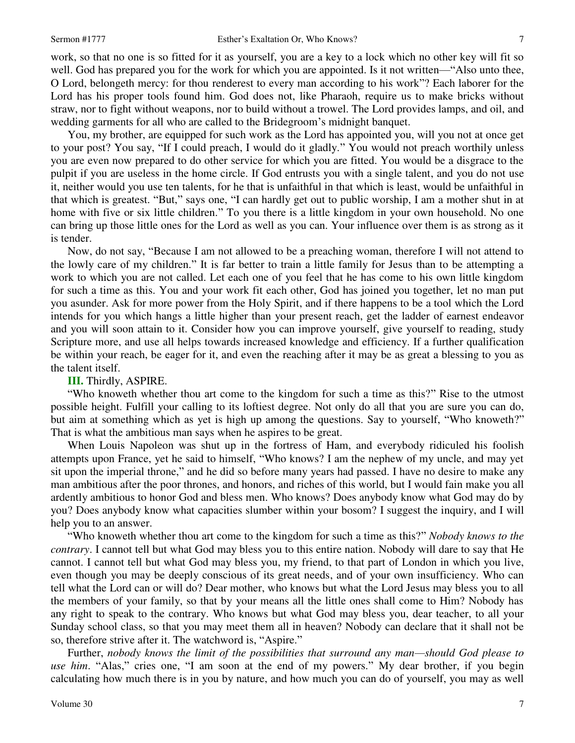work, so that no one is so fitted for it as yourself, you are a key to a lock which no other key will fit so well. God has prepared you for the work for which you are appointed. Is it not written—"Also unto thee, O Lord, belongeth mercy: for thou renderest to every man according to his work"? Each laborer for the Lord has his proper tools found him. God does not, like Pharaoh, require us to make bricks without straw, nor to fight without weapons, nor to build without a trowel. The Lord provides lamps, and oil, and wedding garments for all who are called to the Bridegroom's midnight banquet.

 You, my brother, are equipped for such work as the Lord has appointed you, will you not at once get to your post? You say, "If I could preach, I would do it gladly." You would not preach worthily unless you are even now prepared to do other service for which you are fitted. You would be a disgrace to the pulpit if you are useless in the home circle. If God entrusts you with a single talent, and you do not use it, neither would you use ten talents, for he that is unfaithful in that which is least, would be unfaithful in that which is greatest. "But," says one, "I can hardly get out to public worship, I am a mother shut in at home with five or six little children." To you there is a little kingdom in your own household. No one can bring up those little ones for the Lord as well as you can. Your influence over them is as strong as it is tender.

 Now, do not say, "Because I am not allowed to be a preaching woman, therefore I will not attend to the lowly care of my children." It is far better to train a little family for Jesus than to be attempting a work to which you are not called. Let each one of you feel that he has come to his own little kingdom for such a time as this. You and your work fit each other, God has joined you together, let no man put you asunder. Ask for more power from the Holy Spirit, and if there happens to be a tool which the Lord intends for you which hangs a little higher than your present reach, get the ladder of earnest endeavor and you will soon attain to it. Consider how you can improve yourself, give yourself to reading, study Scripture more, and use all helps towards increased knowledge and efficiency. If a further qualification be within your reach, be eager for it, and even the reaching after it may be as great a blessing to you as the talent itself.

#### **III.** Thirdly, ASPIRE.

"Who knoweth whether thou art come to the kingdom for such a time as this?" Rise to the utmost possible height. Fulfill your calling to its loftiest degree. Not only do all that you are sure you can do, but aim at something which as yet is high up among the questions. Say to yourself, "Who knoweth?" That is what the ambitious man says when he aspires to be great.

 When Louis Napoleon was shut up in the fortress of Ham, and everybody ridiculed his foolish attempts upon France, yet he said to himself, "Who knows? I am the nephew of my uncle, and may yet sit upon the imperial throne," and he did so before many years had passed. I have no desire to make any man ambitious after the poor thrones, and honors, and riches of this world, but I would fain make you all ardently ambitious to honor God and bless men. Who knows? Does anybody know what God may do by you? Does anybody know what capacities slumber within your bosom? I suggest the inquiry, and I will help you to an answer.

"Who knoweth whether thou art come to the kingdom for such a time as this?" *Nobody knows to the contrary*. I cannot tell but what God may bless you to this entire nation. Nobody will dare to say that He cannot. I cannot tell but what God may bless you, my friend, to that part of London in which you live, even though you may be deeply conscious of its great needs, and of your own insufficiency. Who can tell what the Lord can or will do? Dear mother, who knows but what the Lord Jesus may bless you to all the members of your family, so that by your means all the little ones shall come to Him? Nobody has any right to speak to the contrary. Who knows but what God may bless you, dear teacher, to all your Sunday school class, so that you may meet them all in heaven? Nobody can declare that it shall not be so, therefore strive after it. The watchword is, "Aspire."

 Further, *nobody knows the limit of the possibilities that surround any man—should God please to use him*. "Alas," cries one, "I am soon at the end of my powers." My dear brother, if you begin calculating how much there is in you by nature, and how much you can do of yourself, you may as well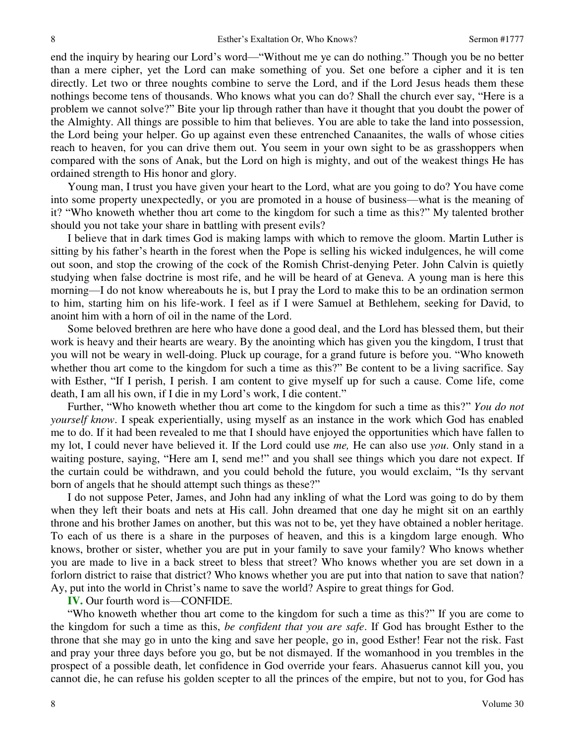end the inquiry by hearing our Lord's word—"Without me ye can do nothing." Though you be no better than a mere cipher, yet the Lord can make something of you. Set one before a cipher and it is ten directly. Let two or three noughts combine to serve the Lord, and if the Lord Jesus heads them these nothings become tens of thousands. Who knows what you can do? Shall the church ever say, "Here is a problem we cannot solve?" Bite your lip through rather than have it thought that you doubt the power of the Almighty. All things are possible to him that believes. You are able to take the land into possession, the Lord being your helper. Go up against even these entrenched Canaanites, the walls of whose cities reach to heaven, for you can drive them out. You seem in your own sight to be as grasshoppers when compared with the sons of Anak, but the Lord on high is mighty, and out of the weakest things He has ordained strength to His honor and glory.

 Young man, I trust you have given your heart to the Lord, what are you going to do? You have come into some property unexpectedly, or you are promoted in a house of business—what is the meaning of it? "Who knoweth whether thou art come to the kingdom for such a time as this?" My talented brother should you not take your share in battling with present evils?

 I believe that in dark times God is making lamps with which to remove the gloom. Martin Luther is sitting by his father's hearth in the forest when the Pope is selling his wicked indulgences, he will come out soon, and stop the crowing of the cock of the Romish Christ-denying Peter. John Calvin is quietly studying when false doctrine is most rife, and he will be heard of at Geneva. A young man is here this morning—I do not know whereabouts he is, but I pray the Lord to make this to be an ordination sermon to him, starting him on his life-work. I feel as if I were Samuel at Bethlehem, seeking for David, to anoint him with a horn of oil in the name of the Lord.

 Some beloved brethren are here who have done a good deal, and the Lord has blessed them, but their work is heavy and their hearts are weary. By the anointing which has given you the kingdom, I trust that you will not be weary in well-doing. Pluck up courage, for a grand future is before you. "Who knoweth whether thou art come to the kingdom for such a time as this?" Be content to be a living sacrifice. Say with Esther, "If I perish, I perish. I am content to give myself up for such a cause. Come life, come death, I am all his own, if I die in my Lord's work, I die content."

 Further, "Who knoweth whether thou art come to the kingdom for such a time as this?" *You do not yourself know*. I speak experientially, using myself as an instance in the work which God has enabled me to do. If it had been revealed to me that I should have enjoyed the opportunities which have fallen to my lot, I could never have believed it. If the Lord could use *me,* He can also use *you*. Only stand in a waiting posture, saying, "Here am I, send me!" and you shall see things which you dare not expect. If the curtain could be withdrawn, and you could behold the future, you would exclaim, "Is thy servant born of angels that he should attempt such things as these?"

 I do not suppose Peter, James, and John had any inkling of what the Lord was going to do by them when they left their boats and nets at His call. John dreamed that one day he might sit on an earthly throne and his brother James on another, but this was not to be, yet they have obtained a nobler heritage. To each of us there is a share in the purposes of heaven, and this is a kingdom large enough. Who knows, brother or sister, whether you are put in your family to save your family? Who knows whether you are made to live in a back street to bless that street? Who knows whether you are set down in a forlorn district to raise that district? Who knows whether you are put into that nation to save that nation? Ay, put into the world in Christ's name to save the world? Aspire to great things for God.

**IV.** Our fourth word is—CONFIDE.

"Who knoweth whether thou art come to the kingdom for such a time as this?" If you are come to the kingdom for such a time as this, *be confident that you are safe*. If God has brought Esther to the throne that she may go in unto the king and save her people, go in, good Esther! Fear not the risk. Fast and pray your three days before you go, but be not dismayed. If the womanhood in you trembles in the prospect of a possible death, let confidence in God override your fears. Ahasuerus cannot kill you, you cannot die, he can refuse his golden scepter to all the princes of the empire, but not to you, for God has